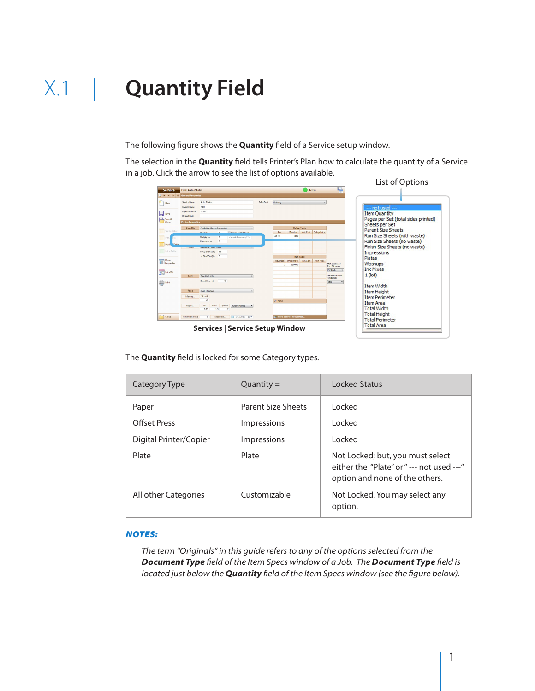The following figure shows the **Quantity** field of a Service setup window.

The selection in the **Quantity** field tells Printer's Plan how to calculate the quantity of a Service in a job. Click the arrow to see the list of options available. List of Options

| <b>Service</b>                    | Fold: Auto 2 Folds                           |                                    |          |                                           |            |                                   |                                         | Active   |                  | $2\frac{1}{10}$            |                                               |
|-----------------------------------|----------------------------------------------|------------------------------------|----------|-------------------------------------------|------------|-----------------------------------|-----------------------------------------|----------|------------------|----------------------------|-----------------------------------------------|
|                                   | Q. 14 4 > >   >   General Properties         |                                    |          |                                           |            |                                   |                                         |          |                  |                            |                                               |
| $P^{\text{max}}$                  | Service Name                                 | Auto 2 Folds<br>Pold               |          |                                           | Sales Dept | Finishing                         |                                         |          | $\bullet$        |                            |                                               |
| save                              | <b>Invoice Name</b><br><b>Popuo Reminder</b> | How?                               |          |                                           |            |                                   |                                         |          |                  |                            | --- not used ---<br><b>Item Quantity</b>      |
| Save &                            | Default Note                                 |                                    |          |                                           |            |                                   |                                         |          |                  |                            | Pages per Set (total sides printed)           |
|                                   | <b>Pricing Properties</b>                    |                                    |          |                                           |            |                                   |                                         |          |                  |                            | Sheets per Set                                |
| Waste Table                       | Quantity                                     | Finish Size Sheets (no waste)      |          | El Graats of 20 million                   |            | Per                               | <b>Setup Table</b><br><b>Minutes</b>    | Mat.Cost | Setup Price      |                            | <b>Parent Size Sheets</b>                     |
| <b>TTT</b> Diff.                  |                                              | <b>Districts</b> In<br>Multiply by | $\circ$  | < or ask How many? >                      |            | Let (1)                           | 8.00                                    |          |                  |                            | Run Size Sheets (with waste)                  |
| <b>Mark</b><br><b>Take</b>        |                                              | Round-up to                        | $\circ$  |                                           |            |                                   |                                         |          |                  |                            | Run Size Sheets (no waste)                    |
|                                   |                                              | <b>PRAKAMING FISHER VERSION</b>    |          |                                           |            |                                   |                                         |          |                  |                            | Finish Size Sheets (no waste)                 |
| Price Table                       |                                              | Setup (#Sheets) 10                 |          |                                           |            |                                   |                                         |          |                  |                            | Impressions                                   |
|                                   |                                              | +% of Fin.Oty 5                    |          |                                           |            |                                   | <b>Run Table</b>                        |          |                  |                            | Plates                                        |
| More<br><b>Example</b> Properties |                                              |                                    |          |                                           |            | п.                                | OtyBreak Units/Hour Mat.Cost<br>5300.00 |          | <b>Run Price</b> | Mat.Costs and              | Washups                                       |
|                                   |                                              |                                    |          |                                           |            |                                   |                                         |          |                  | Run Prices are<br>Per Each | <b>Ink Mixes</b>                              |
| <b>ARE</b> PriceWiz               |                                              |                                    |          |                                           |            |                                   |                                         |          |                  | Method between             | $1$ (lot)                                     |
|                                   | Cost                                         | Time Cost only<br>Cost / Hour \$   | 48       |                                           |            |                                   |                                         |          |                  | OtyBreaks                  | $-$                                           |
| <b>Print</b>                      |                                              |                                    |          |                                           |            |                                   |                                         |          |                  | Step                       | Item Width                                    |
|                                   | Price                                        | Cost + Markup                      |          |                                           |            |                                   |                                         |          |                  |                            | <b>Item Height</b>                            |
|                                   | Markup                                       | $%$ or #                           |          |                                           |            |                                   |                                         |          |                  |                            | <b>Item Perimeter</b>                         |
|                                   |                                              | 25                                 |          |                                           |            | $2$ Note                          |                                         |          |                  |                            | <b>Item Area</b>                              |
|                                   | Adjust                                       | Rush<br>Bid<br>0.75<br>1.5         |          | Special Multiply Markup<br>$\overline{2}$ |            |                                   |                                         |          |                  |                            | <b>Total Width</b>                            |
| Close                             | <b>Minimum Price</b>                         | $\circ$                            | Modified | ■ 1/27/2011 田▼                            |            | <b>In More Service Properties</b> |                                         |          |                  |                            | <b>Total Height</b><br><b>Total Perimeter</b> |

 **Services | Service Setup Window**

The **Quantity** field is locked for some Category types.

| Category Type          | $Quantity =$              | Locked Status                                                                                                    |
|------------------------|---------------------------|------------------------------------------------------------------------------------------------------------------|
| Paper                  | <b>Parent Size Sheets</b> | <b>Locked</b>                                                                                                    |
| <b>Offset Press</b>    | <b>Impressions</b>        | <b>Locked</b>                                                                                                    |
| Digital Printer/Copier | <b>Impressions</b>        | Locked                                                                                                           |
| Plate                  | Plate                     | Not Locked; but, you must select<br>either the "Plate" or " --- not used --- "<br>option and none of the others. |
| All other Categories   | Customizable              | Not Locked. You may select any<br>option.                                                                        |

#### *Notes:*

*The term "Originals" in this guide refers to any of the options selected from the Document Type field of the Item Specs window of a Job. The Document Type field is located just below the Quantity field of the Item Specs window (see the figure below).*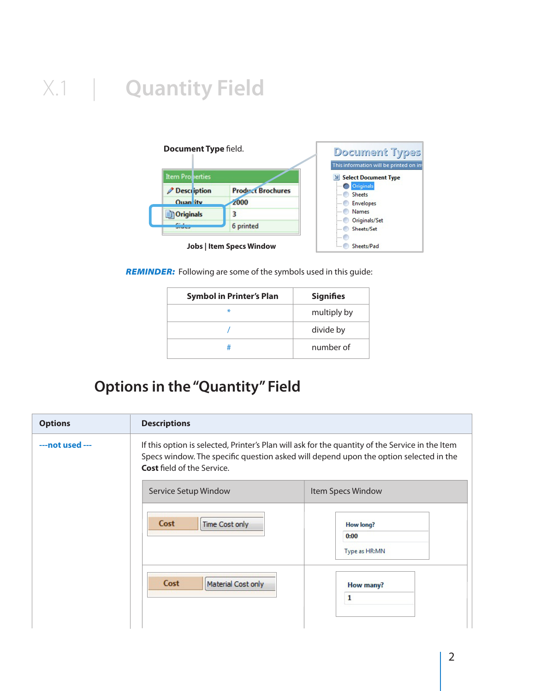

*Reminder:* Following are some of the symbols used in this guide:

| <b>Symbol in Printer's Plan</b> | <b>Signifies</b> |
|---------------------------------|------------------|
| ₩                               | multiply by      |
|                                 | divide by        |
| #                               | number of        |

#### **Options in the "Quantity" Field**

| <b>Options</b>  | <b>Descriptions</b>                                                                                                                                                                                                           |                   |
|-----------------|-------------------------------------------------------------------------------------------------------------------------------------------------------------------------------------------------------------------------------|-------------------|
| ---not used --- | If this option is selected, Printer's Plan will ask for the quantity of the Service in the Item<br>Specs window. The specific question asked will depend upon the option selected in the<br><b>Cost</b> field of the Service. |                   |
|                 | Service Setup Window                                                                                                                                                                                                          | Item Specs Window |
|                 | Cost<br>Time Cost only                                                                                                                                                                                                        | How long?<br>0:00 |
|                 |                                                                                                                                                                                                                               | Type as HR:MN     |
|                 | Cost<br>Material Cost only                                                                                                                                                                                                    | How many?         |
|                 |                                                                                                                                                                                                                               | 1                 |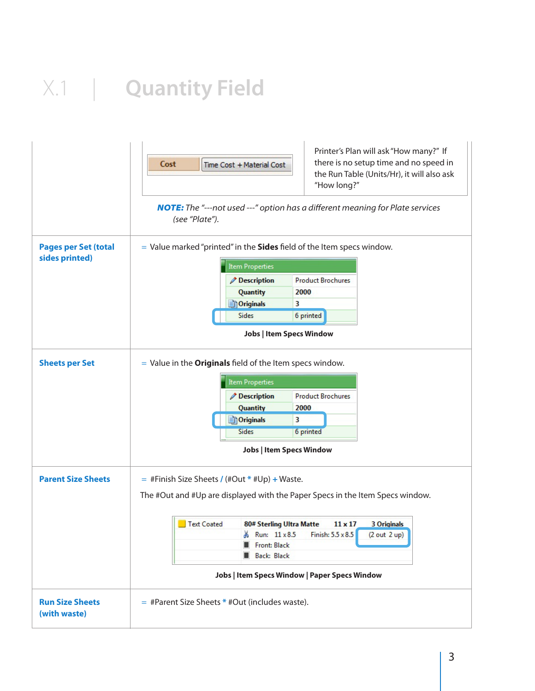|                                               | Printer's Plan will ask "How many?" If<br>there is no setup time and no speed in<br>Cost<br>Time Cost + Material Cost<br>the Run Table (Units/Hr), it will also ask<br>"How long?" |  |  |  |  |  |  |  |
|-----------------------------------------------|------------------------------------------------------------------------------------------------------------------------------------------------------------------------------------|--|--|--|--|--|--|--|
|                                               | <b>NOTE:</b> The "---not used ---" option has a different meaning for Plate services<br>(see "Plate").                                                                             |  |  |  |  |  |  |  |
| <b>Pages per Set (total</b><br>sides printed) | $=$ Value marked "printed" in the Sides field of the Item specs window.<br><b>Item Properties</b>                                                                                  |  |  |  |  |  |  |  |
|                                               | <b>Product Brochures</b>                                                                                                                                                           |  |  |  |  |  |  |  |
|                                               | <b>Description</b><br>Quantity<br>2000                                                                                                                                             |  |  |  |  |  |  |  |
|                                               | <b>Originals</b><br>3                                                                                                                                                              |  |  |  |  |  |  |  |
|                                               | Sides<br>6 printed                                                                                                                                                                 |  |  |  |  |  |  |  |
|                                               | <b>Jobs   Item Specs Window</b>                                                                                                                                                    |  |  |  |  |  |  |  |
| <b>Sheets per Set</b>                         | $=$ Value in the <b>Originals</b> field of the Item specs window.                                                                                                                  |  |  |  |  |  |  |  |
|                                               | <b>Item Properties</b>                                                                                                                                                             |  |  |  |  |  |  |  |
|                                               | <b>Description</b><br><b>Product Brochures</b>                                                                                                                                     |  |  |  |  |  |  |  |
|                                               | Quantity<br>2000                                                                                                                                                                   |  |  |  |  |  |  |  |
|                                               | <b>Originals</b><br>3                                                                                                                                                              |  |  |  |  |  |  |  |
|                                               | Sides<br>6 printed                                                                                                                                                                 |  |  |  |  |  |  |  |
|                                               | <b>Jobs   Item Specs Window</b>                                                                                                                                                    |  |  |  |  |  |  |  |
| <b>Parent Size Sheets</b>                     | $=$ #Finish Size Sheets / (#Out * #Up) + Waste.                                                                                                                                    |  |  |  |  |  |  |  |
|                                               | The #Out and #Up are displayed with the Paper Specs in the Item Specs window.                                                                                                      |  |  |  |  |  |  |  |
|                                               | Text Coated<br>80# Sterling Ultra Matte<br>$11 \times 17$<br><b>3 Originals</b>                                                                                                    |  |  |  |  |  |  |  |
|                                               | Run: 11 x 8.5<br>Finish: 5.5 x 8.5<br>(2 out 2 up)                                                                                                                                 |  |  |  |  |  |  |  |
|                                               | Front: Black                                                                                                                                                                       |  |  |  |  |  |  |  |
|                                               | <b>Back: Black</b>                                                                                                                                                                 |  |  |  |  |  |  |  |
|                                               | <b>Jobs   Item Specs Window   Paper Specs Window</b>                                                                                                                               |  |  |  |  |  |  |  |
| <b>Run Size Sheets</b><br>(with waste)        | $=$ #Parent Size Sheets * #Out (includes waste).                                                                                                                                   |  |  |  |  |  |  |  |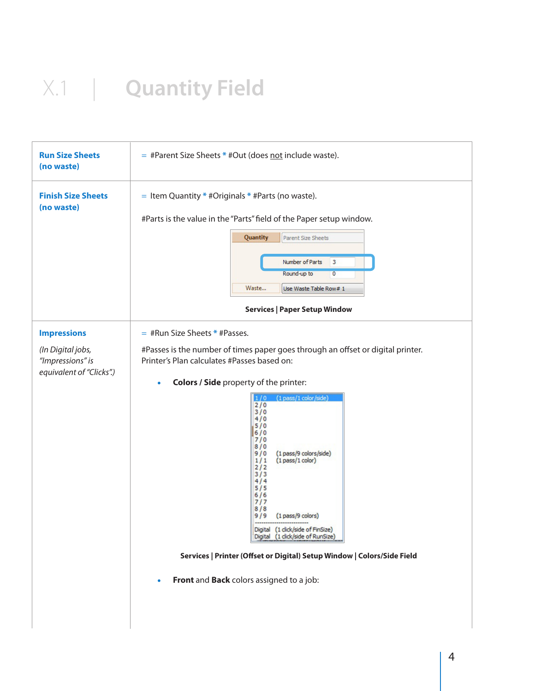| <b>Run Size Sheets</b><br>(no waste)                                                    | $=$ #Parent Size Sheets $*$ #Out (does not include waste).                                                                                                                                                                                                                                                                                                                                                                                                                                                                                                                                                                                                          |
|-----------------------------------------------------------------------------------------|---------------------------------------------------------------------------------------------------------------------------------------------------------------------------------------------------------------------------------------------------------------------------------------------------------------------------------------------------------------------------------------------------------------------------------------------------------------------------------------------------------------------------------------------------------------------------------------------------------------------------------------------------------------------|
| <b>Finish Size Sheets</b><br>(no waste)                                                 | $=$ Item Quantity $*$ #Originals $*$ #Parts (no waste).<br>#Parts is the value in the "Parts" field of the Paper setup window.<br>Quantity<br>Parent Size Sheets<br>Number of Parts<br>$\overline{\mathbf{3}}$<br>Round-up to<br>$\overline{0}$<br>Waste<br>Use Waste Table Row# 1<br><b>Services   Paper Setup Window</b>                                                                                                                                                                                                                                                                                                                                          |
| <b>Impressions</b><br>(In Digital jobs,<br>"Impressions" is<br>equivalent of "Clicks".) | $=$ #Run Size Sheets * #Passes.<br>#Passes is the number of times paper goes through an offset or digital printer.<br>Printer's Plan calculates #Passes based on:<br>Colors / Side property of the printer:<br>$\bullet$<br>(1 pass/1 color/side)<br>1/0<br>2/0<br>3/0<br>4/0<br>5/0<br>6/0<br>7/0<br>8/0<br>9/0<br>(1 pass/9 colors/side)<br>1/1<br>$(1$ pass/1 color)<br>2/2<br>3/3<br>4/4<br>5/5<br>6/6<br>717<br>8/8<br>9 / 9<br>(1 pass/9 colors)<br>Digital (1 click/side of FinSize)<br>Digital (1 dick/side of RunSize)<br>Services   Printer (Offset or Digital) Setup Window   Colors/Side Field<br>Front and Back colors assigned to a job:<br>$\bullet$ |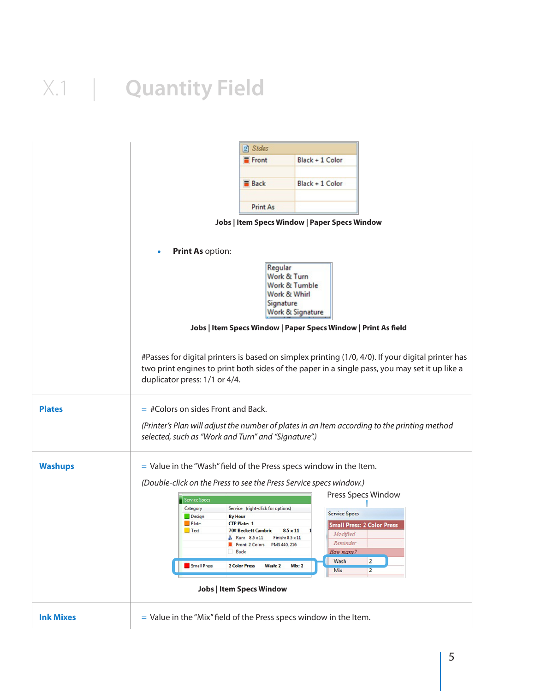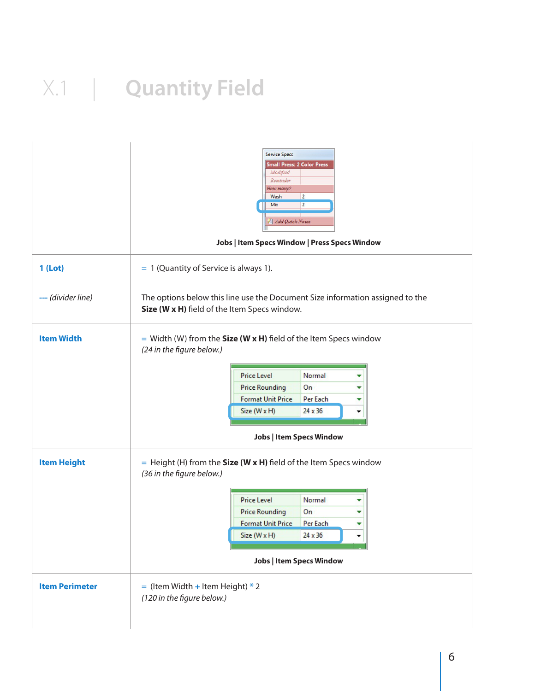|                       | <b>Service Specs</b><br><b>Small Press: 2 Color Press</b><br>Modified<br>Reminder<br>How many?<br>$\overline{2}$<br>Wash<br>$\overline{2}$<br>Mix<br>Add Quick Notes<br>Jobs   Item Specs Window   Press Specs Window                                                                       |
|-----------------------|---------------------------------------------------------------------------------------------------------------------------------------------------------------------------------------------------------------------------------------------------------------------------------------------|
| 1 (Lot)               | $= 1$ (Quantity of Service is always 1).                                                                                                                                                                                                                                                    |
| --- (divider line)    | The options below this line use the Document Size information assigned to the<br>Size (W x H) field of the Item Specs window.                                                                                                                                                               |
| <b>Item Width</b>     | = Width (W) from the <b>Size (W x H)</b> field of the Item Specs window<br>(24 in the figure below.)<br><b>Price Level</b><br>Normal<br><b>Price Rounding</b><br>On<br><b>Format Unit Price</b><br>Per Each<br>Size (W x H)<br>24 x 36<br><b>Jobs   Item Specs Window</b>                   |
| <b>Item Height</b>    | $=$ Height (H) from the <b>Size (W x H)</b> field of the Item Specs window<br>(36 in the figure below.)<br>Normal<br><b>Price Level</b><br>▼<br><b>Price Rounding</b><br>On<br>٠<br><b>Format Unit Price</b><br>Per Each<br>v<br>Size (W x H)<br>24 x 36<br><b>Jobs   Item Specs Window</b> |
| <b>Item Perimeter</b> | $=$ (Item Width + Item Height) * 2<br>(120 in the figure below.)                                                                                                                                                                                                                            |